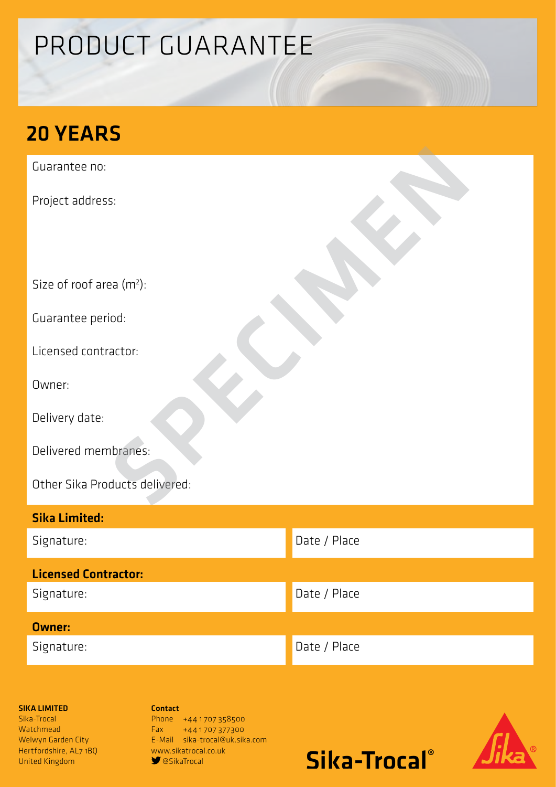# PRODUCT GUARANTEE

# 20 YEARS

Guarantee no:

Project address:

Size of roof area (m<sup>2</sup>):

Guarantee period:

Licensed contractor:

Owner:

Delivery date:

Delivered membranes:

Other Sika Products delivered: s:<br>Paa (m\*):<br>iod:<br>actor:<br>actor:<br>ducts delivered:<br>ducts delivered:

| <b>Sika Limited:</b>        |              |
|-----------------------------|--------------|
| Signature:                  | Date / Place |
| <b>Licensed Contractor:</b> |              |
| Signature:                  | Date / Place |
| <b>Owner:</b>               |              |
| Signature:                  | Date / Place |

## SIKA LIMITED

Sika-Trocal **Watchmead** Welwyn Garden City Hertfordshire, AL7 1BQ United Kingdom

Contact Phone +441707358500 Fax +44 1 707 377300 E-Mail sika-trocal@uk.sika.com www.sikatrocal.co.uk